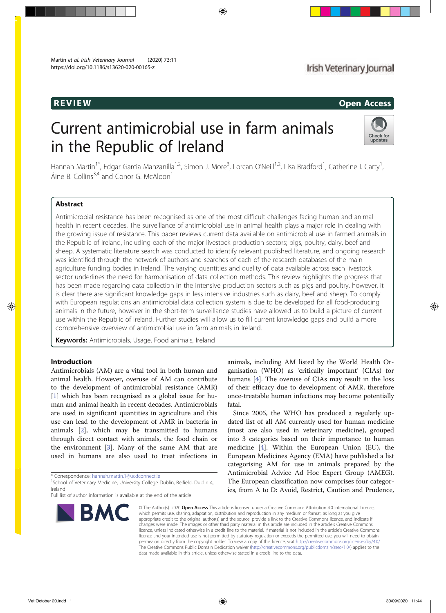# REVIEW Open Access

# Current antimicrobial use in farm animals in the Republic of Ireland



Hannah Martin<sup>1\*</sup>, Edgar Garcia Manzanilla<sup>1,2</sup>, Simon J. More<sup>3</sup>, Lorcan O'Neill<sup>1,2</sup>, Lisa Bradford<sup>1</sup>, Catherine I. Carty<sup>1</sup> , Áine B. Collins<sup>3,4</sup> and Conor G. McAloon<sup>1</sup>

# Abstract

Antimicrobial resistance has been recognised as one of the most difficult challenges facing human and animal health in recent decades. The surveillance of antimicrobial use in animal health plays a major role in dealing with the growing issue of resistance. This paper reviews current data available on antimicrobial use in farmed animals in the Republic of Ireland, including each of the major livestock production sectors; pigs, poultry, dairy, beef and sheep. A systematic literature search was conducted to identify relevant published literature, and ongoing research was identified through the network of authors and searches of each of the research databases of the main agriculture funding bodies in Ireland. The varying quantities and quality of data available across each livestock sector underlines the need for harmonisation of data collection methods. This review highlights the progress that has been made regarding data collection in the intensive production sectors such as pigs and poultry, however, it is clear there are significant knowledge gaps in less intensive industries such as dairy, beef and sheep. To comply with European regulations an antimicrobial data collection system is due to be developed for all food-producing animals in the future, however in the short-term surveillance studies have allowed us to build a picture of current use within the Republic of Ireland. Further studies will allow us to fill current knowledge gaps and build a more comprehensive overview of antimicrobial use in farm animals in Ireland.

Keywords: Antimicrobials, Usage, Food animals, Ireland

### Introduction

Antimicrobials (AM) are a vital tool in both human and animal health. However, overuse of AM can contribute to the development of antimicrobial resistance (AMR) [1] which has been recognised as a global issue for human and animal health in recent decades. Antimicrobials are used in significant quantities in agriculture and this use can lead to the development of AMR in bacteria in animals [2], which may be transmitted to humans through direct contact with animals, the food chain or the environment [3]. Many of the same AM that are used in humans are also used to treat infections in

\* Correspondence: hannah.martin.1@ucdconnect.ie <sup>1</sup>

Full list of author information is available at the end of the article



animals, including AM listed by the World Health Organisation (WHO) as 'critically important' (CIAs) for humans [4]. The overuse of CIAs may result in the loss of their efficacy due to development of AMR, therefore once-treatable human infections may become potentially fatal.

Since 2005, the WHO has produced a regularly updated list of all AM currently used for human medicine (most are also used in veterinary medicine), grouped into 3 categories based on their importance to human medicine [4]. Within the European Union (EU), the European Medicines Agency (EMA) have published a list categorising AM for use in animals prepared by the Antimicrobial Advice Ad Hoc Expert Group (AMEG). The European classification now comprises four categories, from A to D: Avoid, Restrict, Caution and Prudence,

© The Author(s), 2020 **Open Access** This article is licensed under a Creative Commons Attribution 4.0 International License, which permits use, sharing, adaptation, distribution and reproduction in any medium or format, as long as you give appropriate credit to the original author(s) and the source, provide a link to the Creative Commons licence, and indicate if changes were made. The images or other third party material in this article are included in the article's Creative Commons licence, unless indicated otherwise in a credit line to the material. If material is not included in the article's Creative Commons licence and your intended use is not permitted by statutory regulation or exceeds the permitted use, you will need to obtain permission directly from the copyright holder. To view a copy of this licence, visit http://creativecommons.org/licenses/by/4.0/. The Creative Commons Public Domain Dedication waiver (http://creativecommons.org/publicdomain/zero/1.0/) applies to the data made available in this article, unless otherwise stated in a credit line to the data.

<sup>&</sup>lt;sup>1</sup>School of Veterinary Medicine, University College Dublin, Belfield, Dublin 4, Ireland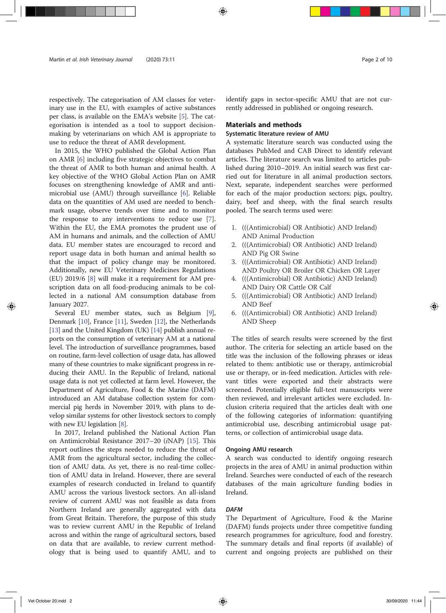respectively. The categorisation of AM classes for veterinary use in the EU, with examples of active substances per class, is available on the EMA's website [5]. The categorisation is intended as a tool to support decisionmaking by veterinarians on which AM is appropriate to use to reduce the threat of AMR development.

In 2015, the WHO published the Global Action Plan on AMR [6] including five strategic objectives to combat the threat of AMR to both human and animal health. A key objective of the WHO Global Action Plan on AMR focuses on strengthening knowledge of AMR and antimicrobial use (AMU) through surveillance [6]. Reliable data on the quantities of AM used are needed to benchmark usage, observe trends over time and to monitor the response to any interventions to reduce use [7]. Within the EU, the EMA promotes the prudent use of AM in humans and animals, and the collection of AMU data. EU member states are encouraged to record and report usage data in both human and animal health so that the impact of policy change may be monitored. Additionally, new EU Veterinary Medicines Regulations (EU) 2019/6 [8] will make it a requirement for AM prescription data on all food-producing animals to be collected in a national AM consumption database from January 2027.

Several EU member states, such as Belgium [9], Denmark [10], France [11], Sweden [12], the Netherlands [13] and the United Kingdom (UK) [14] publish annual reports on the consumption of veterinary AM at a national level. The introduction of surveillance programmes, based on routine, farm-level collection of usage data, has allowed many of these countries to make significant progress in reducing their AMU. In the Republic of Ireland, national usage data is not yet collected at farm level. However, the Department of Agriculture, Food & the Marine (DAFM) introduced an AM database collection system for commercial pig herds in November 2019, with plans to develop similar systems for other livestock sectors to comply with new EU legislation [8].

In 2017, Ireland published the National Action Plan on Antimicrobial Resistance 2017–20 (iNAP) [15]. This report outlines the steps needed to reduce the threat of AMR from the agricultural sector, including the collection of AMU data. As yet, there is no real-time collection of AMU data in Ireland. However, there are several examples of research conducted in Ireland to quantify AMU across the various livestock sectors. An all-island review of current AMU was not feasible as data from Northern Ireland are generally aggregated with data from Great Britain. Therefore, the purpose of this study was to review current AMU in the Republic of Ireland across and within the range of agricultural sectors, based on data that are available, to review current methodology that is being used to quantify AMU, and to identify gaps in sector-specific AMU that are not currently addressed in published or ongoing research.

#### Materials and methods

#### Systematic literature review of AMU

A systematic literature search was conducted using the databases PubMed and CAB Direct to identify relevant articles. The literature search was limited to articles published during 2010–2019. An initial search was first carried out for literature in all animal production sectors. Next, separate, independent searches were performed for each of the major production sectors; pigs, poultry, dairy, beef and sheep, with the final search results pooled. The search terms used were:

- 1. (((Antimicrobial) OR Antibiotic) AND Ireland) AND Animal Production
- 2. (((Antimicrobial) OR Antibiotic) AND Ireland) AND Pig OR Swine
- 3. (((Antimicrobial) OR Antibiotic) AND Ireland) AND Poultry OR Broiler OR Chicken OR Layer
- 4. (((Antimicrobial) OR Antibiotic) AND Ireland) AND Dairy OR Cattle OR Calf
- 5. (((Antimicrobial) OR Antibiotic) AND Ireland) AND Beef
- 6. (((Antimicrobial) OR Antibiotic) AND Ireland) AND Sheep

The titles of search results were screened by the first author. The criteria for selecting an article based on the title was the inclusion of the following phrases or ideas related to them: antibiotic use or therapy, antimicrobial use or therapy, or in-feed medication. Articles with relevant titles were exported and their abstracts were screened. Potentially eligible full-text manuscripts were then reviewed, and irrelevant articles were excluded. Inclusion criteria required that the articles dealt with one of the following categories of information: quantifying antimicrobial use, describing antimicrobial usage patterns, or collection of antimicrobial usage data.

#### Ongoing AMU research

A search was conducted to identify ongoing research projects in the area of AMU in animal production within Ireland. Searches were conducted of each of the research databases of the main agriculture funding bodies in Ireland.

#### **DAFM**

The Department of Agriculture, Food & the Marine (DAFM) funds projects under three competitive funding research programmes for agriculture, food and forestry. The summary details and final reports (if available) of current and ongoing projects are published on their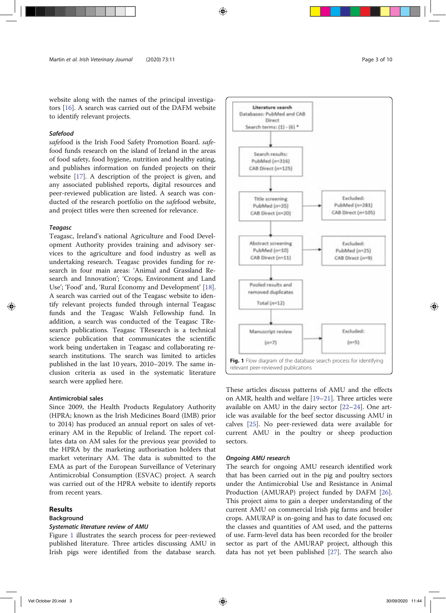website along with the names of the principal investigators [16]. A search was carried out of the DAFM website to identify relevant projects.

#### Safefood

safefood is the Irish Food Safety Promotion Board. safefood funds research on the island of Ireland in the areas of food safety, food hygiene, nutrition and healthy eating, and publishes information on funded projects on their website [17]. A description of the project is given, and any associated published reports, digital resources and peer-reviewed publication are listed. A search was conducted of the research portfolio on the safefood website, and project titles were then screened for relevance.

#### Teagasc

Teagasc, Ireland's national Agriculture and Food Development Authority provides training and advisory services to the agriculture and food industry as well as undertaking research. Teagasc provides funding for research in four main areas: 'Animal and Grassland Research and Innovation'; 'Crops, Environment and Land Use'; 'Food' and, 'Rural Economy and Development' [18]. A search was carried out of the Teagasc website to identify relevant projects funded through internal Teagasc funds and the Teagasc Walsh Fellowship fund. In addition, a search was conducted of the Teagasc TResearch publications. Teagasc TResearch is a technical science publication that communicates the scientific work being undertaken in Teagasc and collaborating research institutions. The search was limited to articles published in the last 10 years, 2010–2019. The same inclusion criteria as used in the systematic literature search were applied here.

#### Antimicrobial sales

Since 2009, the Health Products Regulatory Authority (HPRA; known as the Irish Medicines Board (IMB) prior to 2014) has produced an annual report on sales of veterinary AM in the Republic of Ireland. The report collates data on AM sales for the previous year provided to the HPRA by the marketing authorisation holders that market veterinary AM. The data is submitted to the EMA as part of the European Surveillance of Veterinary Antimicrobial Consumption (ESVAC) project. A search was carried out of the HPRA website to identify reports from recent years.

### **Results**

#### Background

#### Systematic literature review of AMU

Figure 1 illustrates the search process for peer-reviewed published literature. Three articles discussing AMU in Irish pigs were identified from the database search.



These articles discuss patterns of AMU and the effects on AMR, health and welfare [19–21]. Three articles were available on AMU in the dairy sector [22–24]. One article was available for the beef sector discussing AMU in calves [25]. No peer-reviewed data were available for current AMU in the poultry or sheep production sectors.

#### Ongoing AMU research

The search for ongoing AMU research identified work that has been carried out in the pig and poultry sectors under the Antimicrobial Use and Resistance in Animal Production (AMURAP) project funded by DAFM [26]. This project aims to gain a deeper understanding of the current AMU on commercial Irish pig farms and broiler crops. AMURAP is on-going and has to date focused on; the classes and quantities of AM used, and the patterns of use. Farm-level data has been recorded for the broiler sector as part of the AMURAP project, although this data has not yet been published [27]. The search also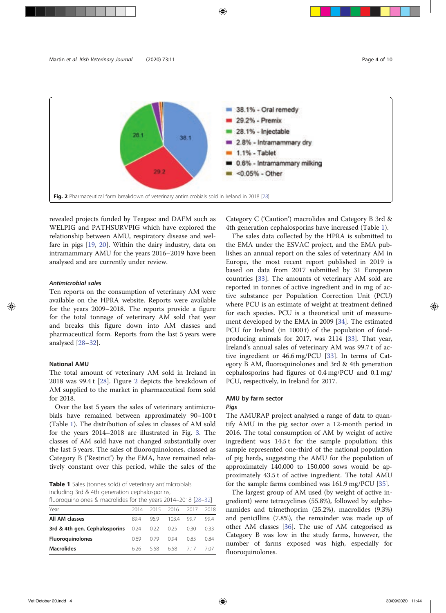

revealed projects funded by Teagasc and DAFM such as WELPIG and PATHSURVPIG which have explored the relationship between AMU, respiratory disease and welfare in pigs [19, 20]. Within the dairy industry, data on intramammary AMU for the years 2016–2019 have been analysed and are currently under review.

#### Antimicrobial sales

Ten reports on the consumption of veterinary AM were available on the HPRA website. Reports were available for the years 2009–2018. The reports provide a figure for the total tonnage of veterinary AM sold that year and breaks this figure down into AM classes and pharmaceutical form. Reports from the last 5 years were analysed [28–32].

#### National AMU

The total amount of veterinary AM sold in Ireland in 2018 was 99.4 t [28]. Figure 2 depicts the breakdown of AM supplied to the market in pharmaceutical form sold for 2018.

Over the last 5 years the sales of veterinary antimicrobials have remained between approximately 90–100 t (Table 1). The distribution of sales in classes of AM sold for the years 2014–2018 are illustrated in Fig. 3. The classes of AM sold have not changed substantially over the last 5 years. The sales of fluoroquinolones, classed as Category B ('Restrict') by the EMA, have remained relatively constant over this period, while the sales of the

Table 1 Sales (tonnes sold) of veterinary antimicrobials including 3rd & 4th generation cephalosporins,

| fluoroquinolones & macrolides for the years 2014–2018 [28–32] |      |      |           |      |      |
|---------------------------------------------------------------|------|------|-----------|------|------|
| Year                                                          | 2014 |      | 2015 2016 | 2017 | 2018 |
| All AM classes                                                | 894  | 969  | 1034      | 997  | 994  |
| 3rd & 4th gen. Cephalosporins 0.24 0.22                       |      |      | 0.25      | 0.30 | 0.33 |
| <b>Fluoroguinolones</b>                                       | 069  | 0.79 | O 94      | 0.85 | 0.84 |
| <b>Macrolides</b>                                             | 626  | 558  | 658       | 717  | 707  |

Category C ('Caution') macrolides and Category B 3rd & 4th generation cephalosporins have increased (Table 1).

The sales data collected by the HPRA is submitted to the EMA under the ESVAC project, and the EMA publishes an annual report on the sales of veterinary AM in Europe, the most recent report published in 2019 is based on data from 2017 submitted by 31 European countries [33]. The amounts of veterinary AM sold are reported in tonnes of active ingredient and in mg of active substance per Population Correction Unit (PCU) where PCU is an estimate of weight at treatment defined for each species. PCU is a theoretical unit of measurement developed by the EMA in 2009 [34]. The estimated PCU for Ireland (in 1000 t) of the population of foodproducing animals for 2017, was 2114 [33]. That year, Ireland's annual sales of veterinary AM was 99.7 t of active ingredient or 46.6 mg/PCU [33]. In terms of Category B AM, fluoroquinolones and 3rd & 4th generation cephalosporins had figures of 0.4 mg/PCU and 0.1 mg/ PCU, respectively, in Ireland for 2017.

# AMU by farm sector

# Pigs

The AMURAP project analysed a range of data to quantify AMU in the pig sector over a 12-month period in 2016. The total consumption of AM by weight of active ingredient was 14.5 t for the sample population; this sample represented one-third of the national population of pig herds, suggesting the AMU for the population of approximately 140,000 to 150,000 sows would be approximately 43.5 t of active ingredient. The total AMU for the sample farms combined was 161.9 mg/PCU [35].

The largest group of AM used (by weight of active ingredient) were tetracyclines (55.8%), followed by sulphonamides and trimethoprim (25.2%), macrolides (9.3%) and penicillins (7.8%), the remainder was made up of other AM classes [36]. The use of AM categorised as Category B was low in the study farms, however, the number of farms exposed was high, especially for fluoroquinolones.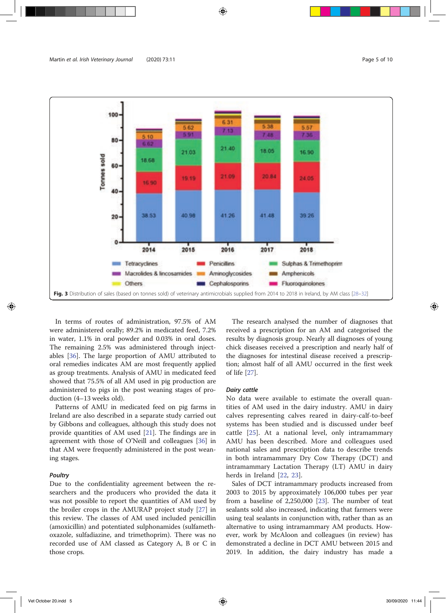

In terms of routes of administration, 97.5% of AM were administered orally; 89.2% in medicated feed, 7.2% in water, 1.1% in oral powder and 0.03% in oral doses. The remaining 2.5% was administered through injectables [36]. The large proportion of AMU attributed to oral remedies indicates AM are most frequently applied as group treatments. Analysis of AMU in medicated feed showed that 75.5% of all AM used in pig production are administered to pigs in the post weaning stages of production (4–13 weeks old).

Patterns of AMU in medicated feed on pig farms in Ireland are also described in a separate study carried out by Gibbons and colleagues, although this study does not provide quantities of AM used [21]. The findings are in agreement with those of O'Neill and colleagues [36] in that AM were frequently administered in the post weaning stages.

#### Poultry

Due to the confidentiality agreement between the researchers and the producers who provided the data it was not possible to report the quantities of AM used by the broiler crops in the AMURAP project study [27] in this review. The classes of AM used included penicillin (amoxicillin) and potentiated sulphonamides (sulfamethoxazole, sulfadiazine, and trimethoprim). There was no recorded use of AM classed as Category A, B or C in those crops.

The research analysed the number of diagnoses that received a prescription for an AM and categorised the results by diagnosis group. Nearly all diagnoses of young chick diseases received a prescription and nearly half of the diagnoses for intestinal disease received a prescription; almost half of all AMU occurred in the first week of life [27].

#### Dairy cattle

No data were available to estimate the overall quantities of AM used in the dairy industry. AMU in dairy calves representing calves reared in dairy-calf-to-beef systems has been studied and is discussed under beef cattle [25]. At a national level, only intramammary AMU has been described. More and colleagues used national sales and prescription data to describe trends in both intramammary Dry Cow Therapy (DCT) and intramammary Lactation Therapy (LT) AMU in dairy herds in Ireland [22, 23].

Sales of DCT intramammary products increased from 2003 to 2015 by approximately 106,000 tubes per year from a baseline of 2,250,000 [23]. The number of teat sealants sold also increased, indicating that farmers were using teal sealants in conjunction with, rather than as an alternative to using intramammary AM products. However, work by McAloon and colleagues (in review) has demonstrated a decline in DCT AMU between 2015 and 2019. In addition, the dairy industry has made a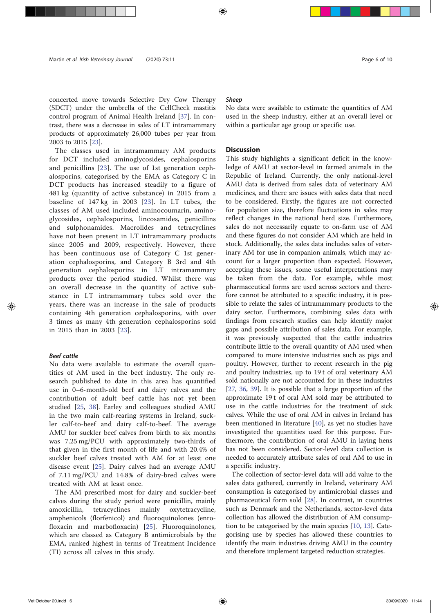# concerted move towards Selective Dry Cow Therapy (SDCT) under the umbrella of the CellCheck mastitis control program of Animal Health Ireland [37]. In contrast, there was a decrease in sales of LT intramammary products of approximately 26,000 tubes per year from 2003 to 2015 [23].

The classes used in intramammary AM products for DCT included aminoglycosides, cephalosporins and penicillins [23]. The use of 1st generation cephalosporins, categorised by the EMA as Category C in DCT products has increased steadily to a figure of 481 kg (quantity of active substance) in 2015 from a baseline of 147 kg in 2003 [23]. In LT tubes, the classes of AM used included aminocoumarin, aminoglycosides, cephalosporins, lincosamides, penicillins and sulphonamides. Macrolides and tetracyclines have not been present in LT intramammary products since 2005 and 2009, respectively. However, there has been continuous use of Category C 1st generation cephalosporins, and Category B 3rd and 4th generation cephalosporins in LT intramammary products over the period studied. Whilst there was an overall decrease in the quantity of active substance in LT intramammary tubes sold over the years, there was an increase in the sale of products containing 4th generation cephalosporins, with over 3 times as many 4th generation cephalosporins sold in 2015 than in 2003 [23].

#### Beef cattle

No data were available to estimate the overall quantities of AM used in the beef industry. The only research published to date in this area has quantified use in 0–6-month-old beef and dairy calves and the contribution of adult beef cattle has not yet been studied [25, 38]. Earley and colleagues studied AMU in the two main calf-rearing systems in Ireland, suckler calf-to-beef and dairy calf-to-beef. The average AMU for suckler beef calves from birth to six months was 7.25 mg/PCU with approximately two-thirds of that given in the first month of life and with 20.4% of suckler beef calves treated with AM for at least one disease event [25]. Dairy calves had an average AMU of 7.11 mg/PCU and 14.8% of dairy-bred calves were treated with AM at least once.

The AM prescribed most for dairy and suckler-beef calves during the study period were penicillin, mainly amoxicillin, tetracyclines mainly oxytetracycline, amphenicols (florfenicol) and fluoroquinolones (enrofloxacin and marbofloxacin) [25]. Fluoroquinolones, which are classed as Category B antimicrobials by the EMA, ranked highest in terms of Treatment Incidence (TI) across all calves in this study.

#### Sheep

No data were available to estimate the quantities of AM used in the sheep industry, either at an overall level or within a particular age group or specific use.

#### **Discussion**

This study highlights a significant deficit in the knowledge of AMU at sector-level in farmed animals in the Republic of Ireland. Currently, the only national-level AMU data is derived from sales data of veterinary AM medicines, and there are issues with sales data that need to be considered. Firstly, the figures are not corrected for population size, therefore fluctuations in sales may reflect changes in the national herd size. Furthermore, sales do not necessarily equate to on-farm use of AM and these figures do not consider AM which are held in stock. Additionally, the sales data includes sales of veterinary AM for use in companion animals, which may account for a larger proportion than expected. However, accepting these issues, some useful interpretations may be taken from the data. For example, while most pharmaceutical forms are used across sectors and therefore cannot be attributed to a specific industry, it is possible to relate the sales of intramammary products to the dairy sector. Furthermore, combining sales data with findings from research studies can help identify major gaps and possible attribution of sales data. For example, it was previously suspected that the cattle industries contribute little to the overall quantity of AM used when compared to more intensive industries such as pigs and poultry. However, further to recent research in the pig and poultry industries, up to 19 t of oral veterinary AM sold nationally are not accounted for in these industries [27, 36, 39]. It is possible that a large proportion of the approximate 19 t of oral AM sold may be attributed to use in the cattle industries for the treatment of sick calves. While the use of oral AM in calves in Ireland has been mentioned in literature [40], as yet no studies have investigated the quantities used for this purpose. Furthermore, the contribution of oral AMU in laying hens has not been considered. Sector-level data collection is needed to accurately attribute sales of oral AM to use in a specific industry.

The collection of sector-level data will add value to the sales data gathered, currently in Ireland, veterinary AM consumption is categorised by antimicrobial classes and pharmaceutical form sold [28]. In contrast, in countries such as Denmark and the Netherlands, sector-level data collection has allowed the distribution of AM consumption to be categorised by the main species [10, 13]. Categorising use by species has allowed these countries to identify the main industries driving AMU in the country and therefore implement targeted reduction strategies.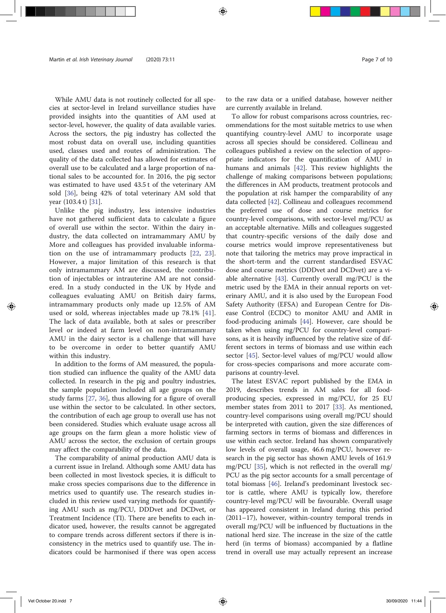While AMU data is not routinely collected for all species at sector-level in Ireland surveillance studies have provided insights into the quantities of AM used at sector-level, however, the quality of data available varies. Across the sectors, the pig industry has collected the most robust data on overall use, including quantities used, classes used and routes of administration. The quality of the data collected has allowed for estimates of overall use to be calculated and a large proportion of national sales to be accounted for. In 2016, the pig sector was estimated to have used 43.5 t of the veterinary AM sold [36], being 42% of total veterinary AM sold that year (103.4 t) [31].

Unlike the pig industry, less intensive industries have not gathered sufficient data to calculate a figure of overall use within the sector. Within the dairy industry, the data collected on intramammary AMU by More and colleagues has provided invaluable information on the use of intramammary products [22, 23]. However, a major limitation of this research is that only intramammary AM are discussed, the contribution of injectables or intrauterine AM are not considered. In a study conducted in the UK by Hyde and colleagues evaluating AMU on British dairy farms, intramammary products only made up 12.5% of AM used or sold, whereas injectables made up 78.1% [41]. The lack of data available, both at sales or prescriber level or indeed at farm level on non-intramammary AMU in the dairy sector is a challenge that will have to be overcome in order to better quantify AMU within this industry.

In addition to the forms of AM measured, the population studied can influence the quality of the AMU data collected. In research in the pig and poultry industries, the sample population included all age groups on the study farms [27, 36], thus allowing for a figure of overall use within the sector to be calculated. In other sectors, the contribution of each age group to overall use has not been considered. Studies which evaluate usage across all age groups on the farm glean a more holistic view of AMU across the sector, the exclusion of certain groups may affect the comparability of the data.

The comparability of animal production AMU data is a current issue in Ireland. Although some AMU data has been collected in most livestock species, it is difficult to make cross species comparisons due to the difference in metrics used to quantify use. The research studies included in this review used varying methods for quantifying AMU such as mg/PCU, DDDvet and DCDvet, or Treatment Incidence (TI). There are benefits to each indicator used, however, the results cannot be aggregated to compare trends across different sectors if there is inconsistency in the metrics used to quantify use. The indicators could be harmonised if there was open access

to the raw data or a unified database, however neither are currently available in Ireland.

To allow for robust comparisons across countries, recommendations for the most suitable metrics to use when quantifying country-level AMU to incorporate usage across all species should be considered. Collineau and colleagues published a review on the selection of appropriate indicators for the quantification of AMU in humans and animals [42]. This review highlights the challenge of making comparisons between populations; the differences in AM products, treatment protocols and the population at risk hamper the comparability of any data collected [42]. Collineau and colleagues recommend the preferred use of dose and course metrics for country-level comparisons, with sector-level mg/PCU as an acceptable alternative. Mills and colleagues suggested that country-specific versions of the daily dose and course metrics would improve representativeness but note that tailoring the metrics may prove impractical in the short-term and the current standardised ESVAC dose and course metrics (DDDvet and DCDvet) are a viable alternative [43]. Currently overall mg/PCU is the metric used by the EMA in their annual reports on veterinary AMU, and it is also used by the European Food Safety Authority (EFSA) and European Centre for Disease Control (ECDC) to monitor AMU and AMR in food-producing animals [44]. However, care should be taken when using mg/PCU for country-level comparisons, as it is heavily influenced by the relative size of different sectors in terms of biomass and use within each sector [45]. Sector-level values of mg/PCU would allow for cross-species comparisons and more accurate comparisons at country-level.

The latest ESVAC report published by the EMA in 2019, describes trends in AM sales for all foodproducing species, expressed in mg/PCU, for 25 EU member states from 2011 to 2017 [33]. As mentioned, country-level comparisons using overall mg/PCU should be interpreted with caution, given the size differences of farming sectors in terms of biomass and differences in use within each sector. Ireland has shown comparatively low levels of overall usage, 46.6 mg/PCU, however research in the pig sector has shown AMU levels of 161.9 mg/PCU [35], which is not reflected in the overall mg/ PCU as the pig sector accounts for a small percentage of total biomass [46]. Ireland's predominant livestock sector is cattle, where AMU is typically low, therefore country-level mg/PCU will be favourable. Overall usage has appeared consistent in Ireland during this period (2011–17), however, within-country temporal trends in overall mg/PCU will be influenced by fluctuations in the national herd size. The increase in the size of the cattle herd (in terms of biomass) accompanied by a flatline trend in overall use may actually represent an increase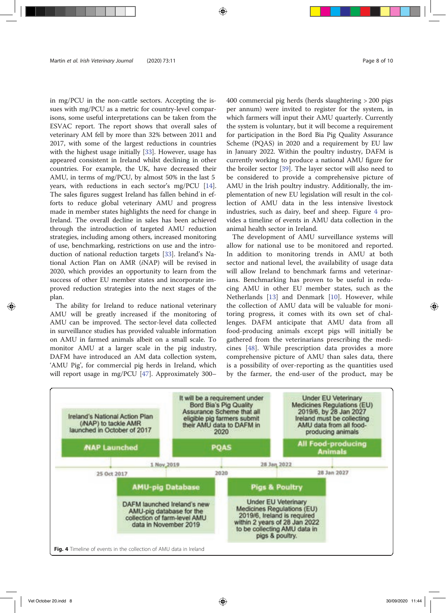in mg/PCU in the non-cattle sectors. Accepting the issues with mg/PCU as a metric for country-level comparisons, some useful interpretations can be taken from the ESVAC report. The report shows that overall sales of veterinary AM fell by more than 32% between 2011 and 2017, with some of the largest reductions in countries with the highest usage initially [33]. However, usage has appeared consistent in Ireland whilst declining in other countries. For example, the UK, have decreased their AMU, in terms of mg/PCU, by almost 50% in the last 5 years, with reductions in each sector's mg/PCU [14]. The sales figures suggest Ireland has fallen behind in efforts to reduce global veterinary AMU and progress made in member states highlights the need for change in Ireland. The overall decline in sales has been achieved through the introduction of targeted AMU reduction strategies, including among others, increased monitoring of use, benchmarking, restrictions on use and the introduction of national reduction targets [33]. Ireland's National Action Plan on AMR (iNAP) will be revised in 2020, which provides an opportunity to learn from the success of other EU member states and incorporate improved reduction strategies into the next stages of the plan.

The ability for Ireland to reduce national veterinary AMU will be greatly increased if the monitoring of AMU can be improved. The sector-level data collected in surveillance studies has provided valuable information on AMU in farmed animals albeit on a small scale. To monitor AMU at a larger scale in the pig industry, DAFM have introduced an AM data collection system, 'AMU Pig', for commercial pig herds in Ireland, which will report usage in mg/PCU [47]. Approximately 300–

400 commercial pig herds (herds slaughtering > 200 pigs per annum) were invited to register for the system, in which farmers will input their AMU quarterly. Currently the system is voluntary, but it will become a requirement for participation in the Bord Bia Pig Quality Assurance Scheme (PQAS) in 2020 and a requirement by EU law in January 2022. Within the poultry industry, DAFM is currently working to produce a national AMU figure for the broiler sector [39]. The layer sector will also need to be considered to provide a comprehensive picture of AMU in the Irish poultry industry. Additionally, the implementation of new EU legislation will result in the collection of AMU data in the less intensive livestock industries, such as dairy, beef and sheep. Figure 4 provides a timeline of events in AMU data collection in the animal health sector in Ireland.

The development of AMU surveillance systems will allow for national use to be monitored and reported. In addition to monitoring trends in AMU at both sector and national level, the availability of usage data will allow Ireland to benchmark farms and veterinarians. Benchmarking has proven to be useful in reducing AMU in other EU member states, such as the Netherlands [13] and Denmark [10]. However, while the collection of AMU data will be valuable for monitoring progress, it comes with its own set of challenges. DAFM anticipate that AMU data from all food-producing animals except pigs will initially be gathered from the veterinarians prescribing the medicines [48]. While prescription data provides a more comprehensive picture of AMU than sales data, there is a possibility of over-reporting as the quantities used by the farmer, the end-user of the product, may be

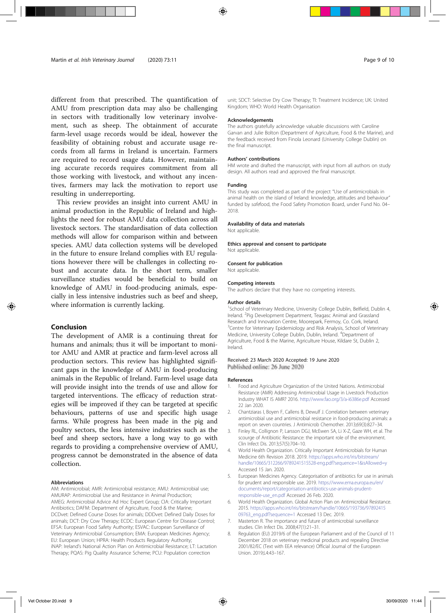different from that prescribed. The quantification of AMU from prescription data may also be challenging in sectors with traditionally low veterinary involvement, such as sheep. The obtainment of accurate farm-level usage records would be ideal, however the feasibility of obtaining robust and accurate usage records from all farms in Ireland is uncertain. Farmers are required to record usage data. However, maintaining accurate records requires commitment from all those working with livestock, and without any incentives, farmers may lack the motivation to report use resulting in underreporting.

This review provides an insight into current AMU in animal production in the Republic of Ireland and highlights the need for robust AMU data collection across all livestock sectors. The standardisation of data collection methods will allow for comparison within and between species. AMU data collection systems will be developed in the future to ensure Ireland complies with EU regulations however there will be challenges in collecting robust and accurate data. In the short term, smaller surveillance studies would be beneficial to build on knowledge of AMU in food-producing animals, especially in less intensive industries such as beef and sheep, where information is currently lacking.

#### Conclusion

The development of AMR is a continuing threat for humans and animals; thus it will be important to monitor AMU and AMR at practice and farm-level across all production sectors. This review has highlighted significant gaps in the knowledge of AMU in food-producing animals in the Republic of Ireland. Farm-level usage data will provide insight into the trends of use and allow for targeted interventions. The efficacy of reduction strategies will be improved if they can be targeted at specific behaviours, patterns of use and specific high usage farms. While progress has been made in the pig and poultry sectors, the less intensive industries such as the beef and sheep sectors, have a long way to go with regards to providing a comprehensive overview of AMU, progress cannot be demonstrated in the absence of data collection.

#### Abbreviations

AM: Antimicrobial; AMR: Antimicrobial resistance; AMU: Antimicrobial use; AMURAP: Antimicrobial Use and Resistance in Animal Production; AMEG: Antimicrobial Advice Ad Hoc Expert Group; CIA: Critically Important Antibiotics; DAFM: Department of Agriculture, Food & the Marine; DCDvet: Defined Course Doses for animals; DDDvet: Defined Daily Doses for animals; DCT: Dry Cow Therapy; ECDC: European Centre for Disease Control; EFSA: European Food Safety Authority; ESVAC: European Surveillance of Veterinary Antimicrobial Consumption; EMA: European Medicines Agency; EU: European Union; HPRA: Health Products Regulatory Authority; iNAP: Ireland's National Action Plan on Antimicrobial Resistance; LT: Lactation Therapy; PQAS: Pig Quality Assurance Scheme; PCU: Population correction

unit; SDCT: Selective Dry Cow Therapy; TI: Treatment Incidence; UK: United Kingdom; WHO: World Health Organisation

#### Acknowledgements

The authors gratefully acknowledge valuable discussions with Caroline Garvan and Julie Bolton (Department of Agriculture, Food & the Marine), and the feedback received from Finola Leonard (University College Dublin) on the final manuscript.

#### Authors' contributions

HM wrote and drafted the manuscript, with input from all authors on study design. All authors read and approved the final manuscript.

#### Funding

This study was completed as part of the project "Use of antimicrobials in animal health on the island of Ireland: knowledge, attitudes and behaviour" funded by safefood, the Food Safety Promotion Board, under Fund No. 04– 2018.

#### Availability of data and materials

Not applicable.

#### Ethics approval and consent to participate

Not applicable

#### Consent for publication

Not applicable.

# Competing interests

The authors declare that they have no competing interests.

#### Author details

<sup>1</sup>School of Veterinary Medicine, University College Dublin, Belfield, Dublin 4, Ireland. <sup>2</sup>Pig Development Department, Teagasc Animal and Grassland Research and Innovation Centre, Moorepark, Fermoy, Co. Cork, Ireland. <sup>3</sup>Centre for Veterinary Epidemiology and Risk Analysis, School of Veterinary Medicine, University College Dublin, Dublin, Ireland. <sup>4</sup>Department of Agriculture, Food & the Marine, Agriculture House, Kildare St, Dublin 2, Ireland.

#### Received: 23 March 2020 Accepted: 19 June 2020 Published online: 26 June 2020

#### References

- 1. Food and Agriculture Organization of the United Nations. Antimicrobial Resistance (AMR) Addressing Antimicrobial Usage in Livestock Production Industry WHAT IS AMR? 2016. http://www.fao.org/3/a-i6386e.pdf Accessed 22 Jan 2020.
- 2. Chantziaras I, Boyen F, Callens B, Dewulf J. Correlation between veterinary antimicrobial use and antimicrobial resistance in food-producing animals: a report on seven countries. J Antimicrob Chemother. 2013;69(3):827–34.
- 3. Finley RL, Collignon P, Larsson DGJ, McEwen SA, Li X-Z, Gaze WH, et al. The scourge of Antibiotic Resistance: the important role of the environment. Clin Infect Dis. 2013;57(5):704–10.
- 4. World Health Organization. Critically Important Antimicrobials for Human Medicine 6th Revision 2018. 2019. https://apps.who.int/iris/bitstream/ handle/10665/312266/9789241515528-eng.pdf?sequence=1&isAllowed=y Accessed 15 Jan. 2020.
- 5. European Medicines Agency. Categorisation of antibiotics for use in animals for prudent and responsible use. 2019. https://www.ema.europa.eu/en/ documents/report/categorisation-antibiotics-use-animals-prudentresponsible-use\_en.pdf Accessed 26 Feb. 2020.
- 6. World Health Organization. Global Action Plan on Antimicrobial Resistance. 2015. https://apps.who.int/iris/bitstream/handle/10665/193736/97892415 09763\_eng.pdf?sequence=1 Accessed 13 Dec. 2019.
- 7. Masterton R. The importance and future of antimicrobial surveillance studies. Clin Infect Dis. 2008;47(1):21–31.
- 8. Regulation (EU) 2019/6 of the European Parliament and of the Council of 11 December 2018 on veterinary medicinal products and repealing Directive 2001/82/EC (Text with EEA relevance) Official Journal of the European Union. 2019;L4:43–167.